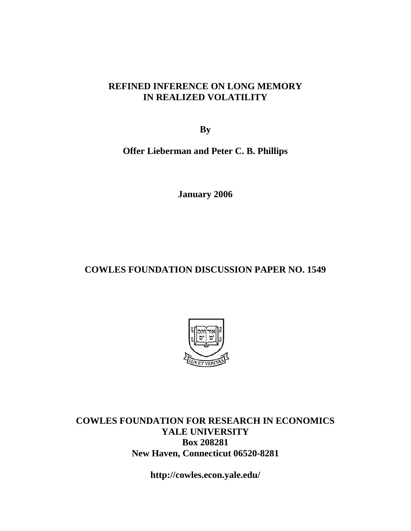#### **REFINED INFERENCE ON LONG MEMORY IN REALIZED VOLATILITY**

**By** 

**Offer Lieberman and Peter C. B. Phillips** 

**January 2006** 

### **COWLES FOUNDATION DISCUSSION PAPER NO. 1549**



**COWLES FOUNDATION FOR RESEARCH IN ECONOMICS YALE UNIVERSITY Box 208281 New Haven, Connecticut 06520-8281** 

**http://cowles.econ.yale.edu/**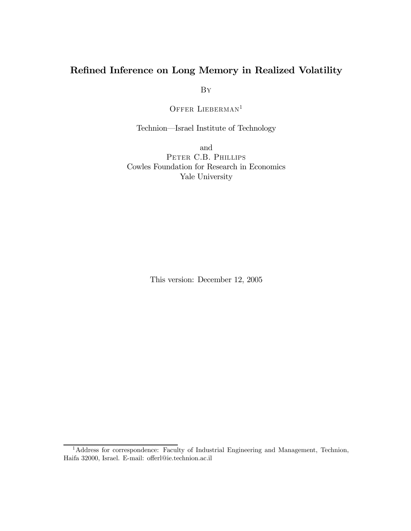#### Refined Inference on Long Memory in Realized Volatility

By

OFFER LIEBERMAN<sup>1</sup>

Technion–Israel Institute of Technology

and PETER C.B. PHILLIPS Cowles Foundation for Research in Economics Yale University

This version: December 12, 2005

<sup>&</sup>lt;sup>1</sup>Address for correspondence: Faculty of Industrial Engineering and Management, Technion, Haifa 32000, Israel. E-mail: offerl@ie.technion.ac.il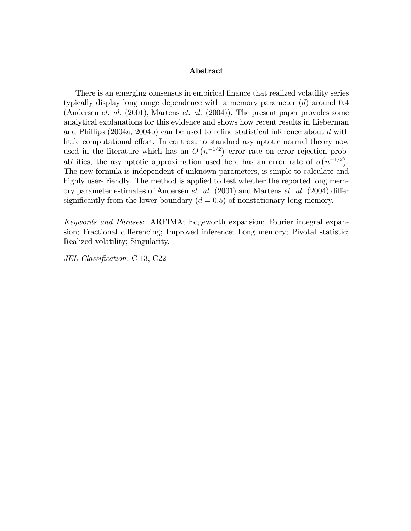#### Abstract

There is an emerging consensus in empirical finance that realized volatility series typically display long range dependence with a memory parameter (d) around 0.4 (Andersen *et. al.*  $(2001)$ , Martens *et. al.*  $(2004)$ ). The present paper provides some analytical explanations for this evidence and shows how recent results in Lieberman and Phillips (2004a, 2004b) can be used to refine statistical inference about d with little computational effort. In contrast to standard asymptotic normal theory now used in the literature which has an  $O(n^{-1/2})$  error rate on error rejection probabilities, the asymptotic approximation used here has an error rate of  $o(n^{-1/2})$ . The new formula is independent of unknown parameters, is simple to calculate and highly user-friendly. The method is applied to test whether the reported long memory parameter estimates of Andersen et. al. (2001) and Martens et. al. (2004) differ significantly from the lower boundary  $(d = 0.5)$  of nonstationary long memory.

Keywords and Phrases: ARFIMA; Edgeworth expansion; Fourier integral expansion; Fractional differencing; Improved inference; Long memory; Pivotal statistic; Realized volatility; Singularity.

JEL Classification: C 13, C22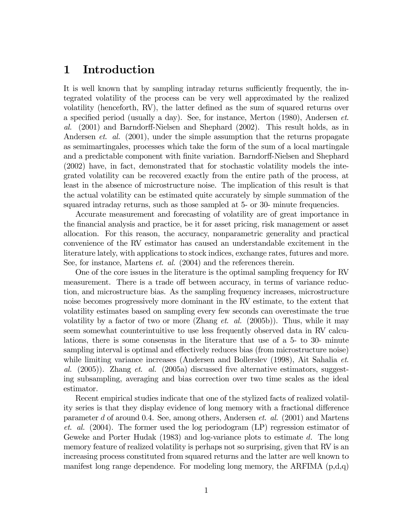# 1 Introduction

It is well known that by sampling intraday returns sufficiently frequently, the integrated volatility of the process can be very well approximated by the realized volatility (henceforth, RV), the latter defined as the sum of squared returns over a specified period (usually a day). See, for instance, Merton (1980), Andersen et. al. (2001) and Barndorff-Nielsen and Shephard (2002). This result holds, as in Andersen *et. al.* (2001), under the simple assumption that the returns propagate as semimartingales, processes which take the form of the sum of a local martingale and a predictable component with finite variation. Barndorff-Nielsen and Shephard (2002) have, in fact, demonstrated that for stochastic volatility models the integrated volatility can be recovered exactly from the entire path of the process, at least in the absence of microstructure noise. The implication of this result is that the actual volatility can be estimated quite accurately by simple summation of the squared intraday returns, such as those sampled at 5- or 30- minute frequencies.

Accurate measurement and forecasting of volatility are of great importance in the financial analysis and practice, be it for asset pricing, risk management or asset allocation. For this reason, the accuracy, nonparametric generality and practical convenience of the RV estimator has caused an understandable excitement in the literature lately, with applications to stock indices, exchange rates, futures and more. See, for instance, Martens *et. al.* (2004) and the references therein.

One of the core issues in the literature is the optimal sampling frequency for RV measurement. There is a trade off between accuracy, in terms of variance reduction, and microstructure bias. As the sampling frequency increases, microstructure noise becomes progressively more dominant in the RV estimate, to the extent that volatility estimates based on sampling every few seconds can overestimate the true volatility by a factor of two or more (Zhang *et. al.* (2005b)). Thus, while it may seem somewhat counterintuitive to use less frequently observed data in RV calculations, there is some consensus in the literature that use of a 5- to 30- minute sampling interval is optimal and effectively reduces bias (from microstructure noise) while limiting variance increases (Andersen and Bollerslev (1998), Ait Sahalia et. al.  $(2005)$ ). Zhang et. al.  $(2005a)$  discussed five alternative estimators, suggesting subsampling, averaging and bias correction over two time scales as the ideal estimator.

Recent empirical studies indicate that one of the stylized facts of realized volatility series is that they display evidence of long memory with a fractional difference parameter d of around 0.4. See, among others, Andersen et. al. (2001) and Martens et. al. (2004). The former used the log periodogram (LP) regression estimator of Geweke and Porter Hudak (1983) and log-variance plots to estimate d. The long memory feature of realized volatility is perhaps not so surprising, given that RV is an increasing process constituted from squared returns and the latter are well known to manifest long range dependence. For modeling long memory, the ARFIMA  $(p,d,q)$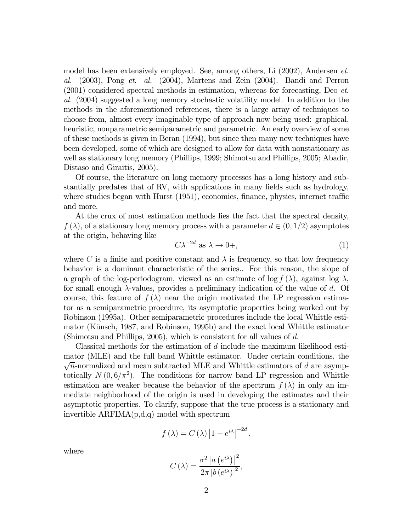model has been extensively employed. See, among others, Li (2002), Andersen et. al. (2003), Pong et. al. (2004), Martens and Zein (2004). Bandi and Perron (2001) considered spectral methods in estimation, whereas for forecasting, Deo et. al. (2004) suggested a long memory stochastic volatility model. In addition to the methods in the aforementioned references, there is a large array of techniques to choose from, almost every imaginable type of approach now being used: graphical, heuristic, nonparametric semiparametric and parametric. An early overview of some of these methods is given in Beran (1994), but since then many new techniques have been developed, some of which are designed to allow for data with nonstationary as well as stationary long memory (Phillips, 1999; Shimotsu and Phillips, 2005; Abadir, Distaso and Giraitis, 2005).

Of course, the literature on long memory processes has a long history and substantially predates that of RV, with applications in many fields such as hydrology, where studies began with Hurst (1951), economics, finance, physics, internet traffic and more.

At the crux of most estimation methods lies the fact that the spectral density,  $f(\lambda)$ , of a stationary long memory process with a parameter  $d \in (0, 1/2)$  asymptotes at the origin, behaving like

$$
C\lambda^{-2d} \text{ as } \lambda \to 0+, \tag{1}
$$

where C is a finite and positive constant and  $\lambda$  is frequency, so that low frequency behavior is a dominant characteristic of the series.. For this reason, the slope of a graph of the log-periodogram, viewed as an estimate of log  $f(\lambda)$ , against log  $\lambda$ , for small enough  $\lambda$ -values, provides a preliminary indication of the value of d. Of course, this feature of  $f(\lambda)$  near the origin motivated the LP regression estimator as a semiparametric procedure, its asymptotic properties being worked out by Robinson (1995a). Other semiparametric procedures include the local Whittle estimator (Künsch, 1987, and Robinson, 1995b) and the exact local Whittle estimator (Shimotsu and Phillips, 2005), which is consistent for all values of d.

Classical methods for the estimation of d include the maximum likelihood estimator (MLE) and the full band Whittle estimator. Under certain conditions, the  $\sqrt{n}$ -normalized and mean subtracted MLE and Whittle estimators of d are asymptotically  $N(0, 6/\pi^2)$ . The conditions for narrow band LP regression and Whittle estimation are weaker because the behavior of the spectrum  $f(\lambda)$  in only an immediate neighborhood of the origin is used in developing the estimates and their asymptotic properties. To clarify, suppose that the true process is a stationary and invertible ARFIMA(p,d,q) model with spectrum

$$
f(\lambda) = C(\lambda) |1 - e^{i\lambda}|^{-2d},
$$

where

$$
C(\lambda) = \frac{\sigma^2 |a(e^{i\lambda})|^2}{2\pi |b(e^{i\lambda})|^2},
$$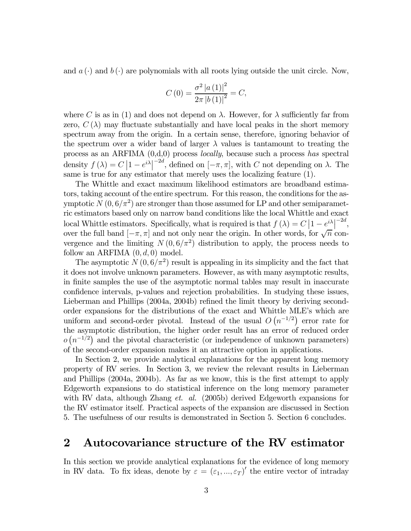and  $a(\cdot)$  and  $b(\cdot)$  are polynomials with all roots lying outside the unit circle. Now,

$$
C(0) = \frac{\sigma^2 |a(1)|^2}{2\pi |b(1)|^2} = C,
$$

where C is as in (1) and does not depend on  $\lambda$ . However, for  $\lambda$  sufficiently far from zero,  $C(\lambda)$  may fluctuate substantially and have local peaks in the short memory spectrum away from the origin. In a certain sense, therefore, ignoring behavior of the spectrum over a wider band of larger  $\lambda$  values is tantamount to treating the process as an ARFIMA (0,d,0) process locally, because such a process has spectral density  $f(\lambda) = C |1 - e^{i\lambda}|^{-2d}$ , defined on  $[-\pi, \pi]$ , with C not depending on  $\lambda$ . The same is true for any estimator that merely uses the localizing feature (1).

The Whittle and exact maximum likelihood estimators are broadband estimators, taking account of the entire spectrum. For this reason, the conditions for the asymptotic  $N(0, 6/\pi^2)$  are stronger than those assumed for LP and other semiparametric estimators based only on narrow band conditions like the local Whittle and exact local Whittle estimators. Specifically, what is required is that  $f(\lambda) = C \left| 1 - e^{i\lambda} \right|^{-2d}$ , over the full band  $[-\pi, \pi]$  and not only near the origin. In other words, for  $\sqrt{n}$  convergence and the limiting  $N(0, 6/\pi^2)$  distribution to apply, the process needs to follow an ARFIMA  $(0, d, 0)$  model.

The asymptotic  $N(0,6/\pi^2)$  result is appealing in its simplicity and the fact that it does not involve unknown parameters. However, as with many asymptotic results, in finite samples the use of the asymptotic normal tables may result in inaccurate confidence intervals, p-values and rejection probabilities. In studying these issues, Lieberman and Phillips (2004a, 2004b) refined the limit theory by deriving secondorder expansions for the distributions of the exact and Whittle MLE's which are uniform and second-order pivotal. Instead of the usual  $O(n^{-1/2})$  error rate for the asymptotic distribution, the higher order result has an error of reduced order  $o(n^{-1/2})$  and the pivotal characteristic (or independence of unknown parameters) of the second-order expansion makes it an attractive option in applications.

In Section 2, we provide analytical explanations for the apparent long memory property of RV series. In Section 3, we review the relevant results in Lieberman and Phillips (2004a, 2004b). As far as we know, this is the first attempt to apply Edgeworth expansions to do statistical inference on the long memory parameter with RV data, although Zhang *et. al.* (2005b) derived Edgeworth expansions for the RV estimator itself. Practical aspects of the expansion are discussed in Section 5. The usefulness of our results is demonstrated in Section 5. Section 6 concludes.

#### 2 Autocovariance structure of the RV estimator

In this section we provide analytical explanations for the evidence of long memory in RV data. To fix ideas, denote by  $\varepsilon = (\varepsilon_1, ..., \varepsilon_T)'$  the entire vector of intraday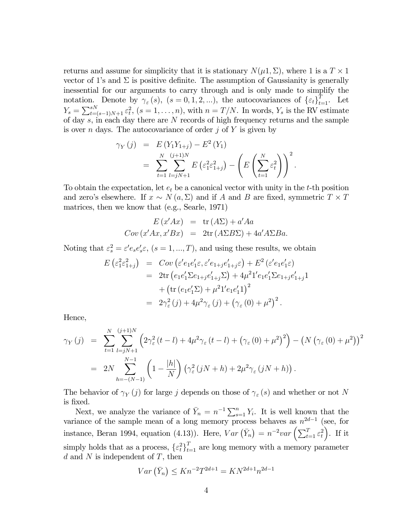returns and assume for simplicity that it is stationary  $N(\mu 1, \Sigma)$ , where 1 is a  $T \times 1$ vector of 1's and  $\Sigma$  is positive definite. The assumption of Gaussianity is generally inessential for our arguments to carry through and is only made to simplify the notation. Denote by  $\gamma_{\varepsilon}(s)$ ,  $(s = 0, 1, 2, ...)$ , the autocovariances of  $\{\varepsilon_t\}_{t=1}^T$ . Let  $Y_s = \sum_{t=(s-1)N+1}^{sN} \varepsilon_t^2$ ,  $(s=1,\ldots,n)$ , with  $n = T/N$ . In words,  $Y_s$  is the RV estimate of day s, in each day there are N records of high frequency returns and the sample is over n days. The autocovariance of order  $i$  of Y is given by

$$
\gamma_Y(j) = E(Y_1Y_{1+j}) - E^2(Y_1)
$$
  
= 
$$
\sum_{t=1}^N \sum_{l=jN+1}^{(j+1)N} E(\varepsilon_1^2 \varepsilon_{1+j}^2) - \left(E\left(\sum_{t=1}^N \varepsilon_t^2\right)\right)^2.
$$

To obtain the expectation, let  $e_t$  be a canonical vector with unity in the t-th position and zero's elsewhere. If  $x \sim N(a, \Sigma)$  and if A and B are fixed, symmetric  $T \times T$ matrices, then we know that (e.g., Searle, 1971)

$$
E(x'Ax) = \text{tr}(A\Sigma) + a'Aa
$$
  
 
$$
Cov(x'Ax, x'Bx) = 2\text{tr}(A\Sigma B\Sigma) + 4a'A\Sigma Ba.
$$

Noting that  $\varepsilon_s^2 = \varepsilon' e_s e_s' \varepsilon$ ,  $(s = 1, ..., T)$ , and using these results, we obtain

$$
E\left(\varepsilon_1^2\varepsilon_{1+j}^2\right) = Cov\left(\varepsilon' e_1 e_1' \varepsilon, \varepsilon' e_{1+j} e_{1+j}' \varepsilon\right) + E^2\left(\varepsilon' e_1 e_1' \varepsilon\right)
$$
  
\n
$$
= 2\text{tr}\left(e_1 e_1' \Sigma e_{1+j} e_{1+j}' \Sigma\right) + 4\mu^2 1' e_1 e_1' \Sigma e_{1+j} e_{1+j}' 1
$$
  
\n
$$
+ \left(\text{tr}\left(e_1 e_1' \Sigma\right) + \mu^2 1' e_1 e_1' 1\right)^2
$$
  
\n
$$
= 2\gamma_{\varepsilon}^2(j) + 4\mu^2 \gamma_{\varepsilon}(j) + \left(\gamma_{\varepsilon}(0) + \mu^2\right)^2.
$$

Hence,

$$
\gamma_Y(j) = \sum_{t=1}^N \sum_{l=jN+1}^{(j+1)N} \left( 2\gamma_{\varepsilon}^2 (t-l) + 4\mu^2 \gamma_{\varepsilon} (t-l) + \left( \gamma_{\varepsilon} (0) + \mu^2 \right)^2 \right) - \left( N \left( \gamma_{\varepsilon} (0) + \mu^2 \right) \right)^2
$$
  
= 
$$
2N \sum_{h=-(N-1)}^{N-1} \left( 1 - \frac{|h|}{N} \right) \left( \gamma_{\varepsilon}^2 (jN+h) + 2\mu^2 \gamma_{\varepsilon} (jN+h) \right).
$$

The behavior of  $\gamma_Y(j)$  for large j depends on those of  $\gamma_{\varepsilon}(s)$  and whether or not N is fixed.

Next, we analyze the variance of  $\bar{Y}_n = n^{-1} \sum_{s=1}^n Y_i$ . It is well known that the variance of the sample mean of a long memory process behaves as  $n^{2d-1}$  (see, for instance, Beran 1994, equation (4.13)). Here,  $Var\left(\bar{Y}_n\right) = n^{-2}var\left(\sum_{t=1}^T \varepsilon_t^2\right)$  $\Big)$ . If it simply holds that as a process,  $\{\varepsilon_t^2\}_{t=1}^T$  are long memory with a memory parameter  $d$  and  $N$  is independent of  $T$ , then

$$
Var\left(\bar{Y}_n\right) \le Kn^{-2}T^{2d+1} = KN^{2d+1}n^{2d-1}
$$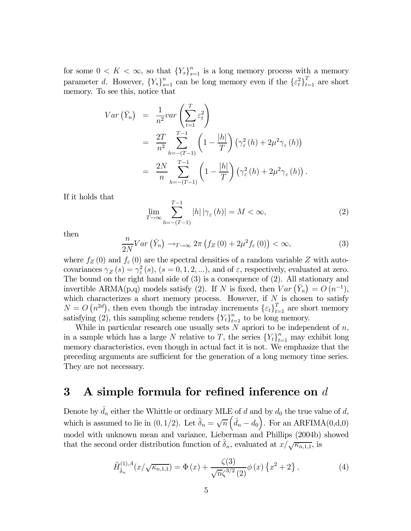for some  $0 < K < \infty$ , so that  $\{Y_s\}_{s=1}^n$  is a long memory process with a memory parameter d. However,  ${Y_s}_{s=1}^n$  can be long memory even if the  ${\{\varepsilon_t^2\}}_{t=1}^T$  are short memory. To see this, notice that

$$
Var\left(\bar{Y}_n\right) = \frac{1}{n^2}var\left(\sum_{t=1}^T \varepsilon_t^2\right)
$$
  
= 
$$
\frac{2T}{n^2} \sum_{h=-\left(T-1\right)}^{T-1} \left(1 - \frac{|h|}{T}\right) \left(\gamma_{\varepsilon}^2(h) + 2\mu^2 \gamma_{\varepsilon}(h)\right)
$$
  
= 
$$
\frac{2N}{n} \sum_{h=-\left(T-1\right)}^{T-1} \left(1 - \frac{|h|}{T}\right) \left(\gamma_{\varepsilon}^2(h) + 2\mu^2 \gamma_{\varepsilon}(h)\right).
$$

If it holds that

$$
\lim_{T \to \infty} \sum_{h = -(T-1)}^{T-1} |h| |\gamma_{\varepsilon}(h)| = M < \infty,
$$
\n(2)

then

$$
\frac{n}{2N}Var\left(\bar{Y}_n\right) \to_{T \to \infty} 2\pi \left(f_Z\left(0\right) + 2\mu^2 f_{\varepsilon}\left(0\right)\right) < \infty,\tag{3}
$$

where  $f_Z(0)$  and  $f_\varepsilon(0)$  are the spectral densities of a random variable Z with autocovariances  $\gamma_Z(s) = \gamma_\varepsilon^2(s)$ ,  $(s = 0, 1, 2, ...)$ , and of  $\varepsilon$ , respectively, evaluated at zero. The bound on the right hand side of (3) is a consequence of (2). All stationary and invertible ARMA(p,q) models satisfy (2). If N is fixed, then  $Var\left(\bar{Y}_n\right) = O\left(n^{-1}\right)$ , which characterizes a short memory process. However, if  $N$  is chosen to satisfy  $N = O(n^{2d})$ , then even though the intraday increments  $\{\varepsilon_t\}_{t=1}^T$  are short memory satisfying (2), this sampling scheme renders  ${Y_t}_{t=1}^n$  to be long memory.

While in particular research one usually sets  $N$  apriori to be independent of  $n$ , in a sample which has a large N relative to T, the series  ${Y_t}_{t=1}^n$  may exhibit long memory characteristics, even though in actual fact it is not. We emphasize that the preceding arguments are sufficient for the generation of a long memory time series. They are not necessary.

# 3 A simple formula for refined inference on  $d$

Denote by  $\hat{d}_n$  either the Whittle or ordinary MLE of d and by  $d_0$  the true value of d, which is assumed to lie in (0, 1/2). Let  $\hat{\delta}_n = \sqrt{n} \left( \hat{d}_n - d_0 \right)$ . For an ARFIMA(0,d,0) model with unknown mean and variance, Lieberman and Phillips (2004b) showed that the second order distribution function of  $\hat{\delta}_n$ , evaluated at  $x/\sqrt{\kappa_{n,1,1}}$ , is

$$
\tilde{H}^{(1),A}_{\hat{\delta}_n}(x/\sqrt{\kappa_{n,1,1}}) = \Phi(x) + \frac{\zeta(3)}{\sqrt{n}\zeta^{3/2}(2)}\phi(x)\left\{x^2 + 2\right\},\tag{4}
$$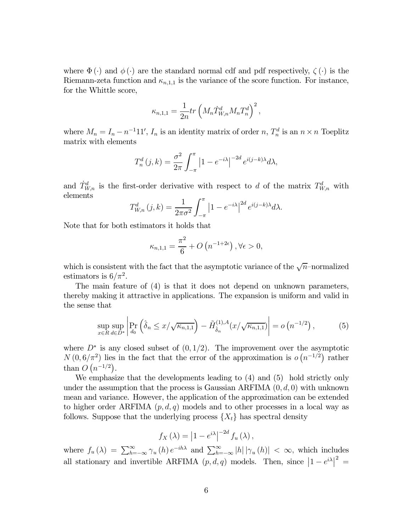where  $\Phi(\cdot)$  and  $\phi(\cdot)$  are the standard normal cdf and pdf respectively,  $\zeta(\cdot)$  is the Riemann-zeta function and  $\kappa_{n,1,1}$  is the variance of the score function. For instance, for the Whittle score,

$$
\kappa_{n,1,1} = \frac{1}{2n} tr \left( M_n \dot{T}_{W,n}^d M_n T_n^d \right)^2,
$$

where  $M_n = I_n - n^{-1}11'$ ,  $I_n$  is an identity matrix of order n,  $T_n^d$  is an  $n \times n$  Toeplitz matrix with elements

$$
T_n^d(j,k) = \frac{\sigma^2}{2\pi} \int_{-\pi}^{\pi} \left| 1 - e^{-i\lambda} \right|^{-2d} e^{i(j-k)\lambda} d\lambda,
$$

and  $\dot{T}_{W,n}^d$  is the first-order derivative with respect to d of the matrix  $T_{W,n}^d$  with elements

$$
T_{W,n}^d(j,k) = \frac{1}{2\pi\sigma^2} \int_{-\pi}^{\pi} \left|1 - e^{-i\lambda}\right|^{2d} e^{i(j-k)\lambda} d\lambda.
$$

Note that for both estimators it holds that

$$
\kappa_{n,1,1} = \frac{\pi^2}{6} + O\left(n^{-1+2\epsilon}\right), \forall \epsilon > 0,
$$

which is consistent with the fact that the asymptotic variance of the  $\sqrt{n}$ -normalized estimators is  $6/\pi^2$ .

The main feature of (4) is that it does not depend on unknown parameters, thereby making it attractive in applications. The expansion is uniform and valid in the sense that

$$
\sup_{x \in R} \sup_{d \in D^*} \left| \Pr_{d_0} \left( \hat{\delta}_n \le x / \sqrt{\kappa_{n,1,1}} \right) - \tilde{H}^{(1),A}_{\hat{\delta}_n}(x / \sqrt{\kappa_{n,1,1}}) \right| = o\left( n^{-1/2} \right),\tag{5}
$$

where  $D^*$  is any closed subset of  $(0, 1/2)$ . The improvement over the asymptotic  $N(0,6/\pi^2)$  lies in the fact that the error of the approximation is  $o(n^{-1/2})$  rather than  $O(n^{-1/2})$ .

We emphasize that the developments leading to (4) and (5) hold strictly only under the assumption that the process is Gaussian ARFIMA  $(0, d, 0)$  with unknown mean and variance. However, the application of the approximation can be extended to higher order ARFIMA  $(p, d, q)$  models and to other processes in a local way as follows. Suppose that the underlying process  $\{X_t\}$  has spectral density

$$
f_X(\lambda) = |1 - e^{i\lambda}|^{-2d} f_u(\lambda),
$$

where  $f_u(\lambda) = \sum_{h=-\infty}^{\infty} \gamma_u(h) e^{-ih\lambda}$  and  $\sum_{h=-\infty}^{\infty} |h| |\gamma_u(h)| < \infty$ , which includes all stationary and invertible ARFIMA  $(p, d, q)$  models. Then, since  $|1 - e^{i\lambda}|^2 =$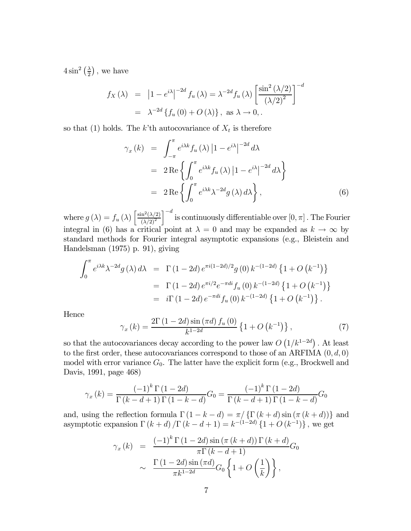$4\sin^2\left(\frac{\lambda}{2}\right)$ , we have

$$
f_X(\lambda) = \left| 1 - e^{i\lambda} \right|^{-2d} f_u(\lambda) = \lambda^{-2d} f_u(\lambda) \left[ \frac{\sin^2(\lambda/2)}{(\lambda/2)^2} \right]^{-d}
$$

$$
= \lambda^{-2d} \left\{ f_u(0) + O(\lambda) \right\}, \text{ as } \lambda \to 0, .
$$

so that (1) holds. The k'th autocovariance of  $X_t$  is therefore

$$
\gamma_x(k) = \int_{-\pi}^{\pi} e^{i\lambda k} f_u(\lambda) |1 - e^{i\lambda}|^{-2d} d\lambda
$$
  
=  $2 \text{Re} \left\{ \int_0^{\pi} e^{i\lambda k} f_u(\lambda) |1 - e^{i\lambda}|^{-2d} d\lambda \right\}$   
=  $2 \text{Re} \left\{ \int_0^{\pi} e^{i\lambda k} \lambda^{-2d} g(\lambda) d\lambda \right\},$  (6)

where  $g(\lambda) = f_u(\lambda) \left[ \frac{\sin^2(\lambda/2)}{(\lambda/2)^2} \right]$  $(\lambda/2)^2$  $\int_{0}^{-d}$  is continuously differentiable over  $[0, \pi]$  . The Fourier integral in (6) has a critical point at  $\lambda = 0$  and may be expanded as  $k \to \infty$  by standard methods for Fourier integral asymptotic expansions (e.g., Bleistein and Handelsman (1975) p. 91), giving

$$
\int_0^{\pi} e^{i\lambda k} \lambda^{-2d} g(\lambda) d\lambda = \Gamma(1 - 2d) e^{\pi i (1 - 2d)/2} g(0) k^{-(1 - 2d)} \{1 + O(k^{-1})\}
$$
  
=  $\Gamma(1 - 2d) e^{\pi i/2} e^{-\pi d i} f_u(0) k^{-(1 - 2d)} \{1 + O(k^{-1})\}$   
=  $i \Gamma(1 - 2d) e^{-\pi d i} f_u(0) k^{-(1 - 2d)} \{1 + O(k^{-1})\}.$ 

Hence

$$
\gamma_x(k) = \frac{2\Gamma(1 - 2d)\sin(\pi d) f_u(0)}{k^{1 - 2d}} \left\{ 1 + O\left(k^{-1}\right) \right\},\tag{7}
$$

so that the autocovariances decay according to the power law  $O(1/k^{1-2d})$ . At least to the first order, these autocovariances correspond to those of an ARFIMA  $(0, d, 0)$ model with error variance  $G_0$ . The latter have the explicit form (e.g., Brockwell and Davis, 1991, page 468)

$$
\gamma_x(k) = \frac{(-1)^k \Gamma(1 - 2d)}{\Gamma(k - d + 1) \Gamma(1 - k - d)} G_0 = \frac{(-1)^k \Gamma(1 - 2d)}{\Gamma(k - d + 1) \Gamma(1 - k - d)} G_0
$$

and, using the reflection formula  $\Gamma(1 - k - d) = \pi / {\{\Gamma(k + d) \sin{(\pi (k + d))}\}}$  and asymptotic expansion  $\Gamma(k + d)/\Gamma(k - d + 1) = k^{-(1-2d)} \{1 + O(k^{-1})\}$ , we get

$$
\gamma_x(k) = \frac{(-1)^k \Gamma(1 - 2d) \sin(\pi (k + d)) \Gamma(k + d)}{\pi \Gamma(k - d + 1)} G_0
$$

$$
\sim \frac{\Gamma(1 - 2d) \sin(\pi d)}{\pi k^{1 - 2d}} G_0 \left\{ 1 + O\left(\frac{1}{k}\right) \right\},
$$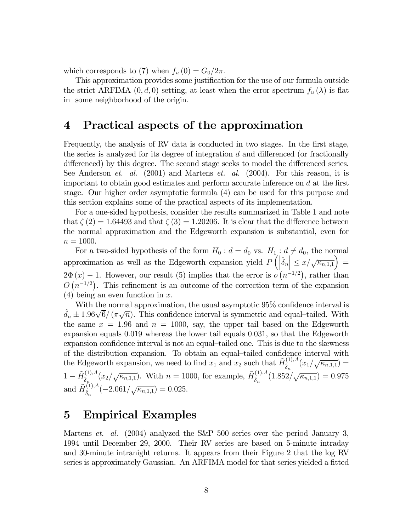which corresponds to (7) when  $f_u(0) = G_0/2\pi$ .

This approximation provides some justification for the use of our formula outside the strict ARFIMA  $(0, d, 0)$  setting, at least when the error spectrum  $f_u(\lambda)$  is flat in some neighborhood of the origin.

#### 4 Practical aspects of the approximation

Frequently, the analysis of RV data is conducted in two stages. In the first stage, the series is analyzed for its degree of integration  $d$  and differenced (or fractionally differenced) by this degree. The second stage seeks to model the differenced series. See Anderson *et. al.* (2001) and Martens *et. al.* (2004). For this reason, it is important to obtain good estimates and perform accurate inference on  $d$  at the first stage. Our higher order asymptotic formula (4) can be used for this purpose and this section explains some of the practical aspects of its implementation.

For a one-sided hypothesis, consider the results summarized in Table 1 and note that  $\zeta(2) = 1.64493$  and that  $\zeta(3) = 1.20206$ . It is clear that the difference between the normal approximation and the Edgeworth expansion is substantial, even for  $n = 1000$ .

For a two-sided hypothesis of the form  $H_0: d = d_0$  vs.  $H_1: d \neq d_0$ , the normal approximation as well as the Edgeworth expansion yield  $P\left(\left|\hat{\delta}_n\right| \leq x/\sqrt{\kappa_{n,1,1}}\right)$  $2\Phi(x) - 1$ . However, our result (5) implies that the error is  $o(n^{-1/2})$ , rather than  $O(n^{-1/2})$ . This refinement is an outcome of the correction term of the expansion  $(4)$  being an even function in x.

With the normal approximation, the usual asymptotic 95% confidence interval is  $\hat{d}_n \pm 1.96\sqrt{6}/(\pi\sqrt{n})$ . This confidence interval is symmetric and equal-tailed. With the same  $x = 1.96$  and  $n = 1000$ , say, the upper tail based on the Edgeworth expansion equals 0.019 whereas the lower tail equals 0.031, so that the Edgeworth expansion confidence interval is not an equal—tailed one. This is due to the skewness of the distribution expansion. To obtain an equal—tailed confidence interval with the Edgeworth expansion, we need to find  $x_1$  and  $x_2$  such that  $\tilde{H}_{\hat{\delta}_n}^{(1),A}(x_1/\sqrt{\kappa_{n,1,1}})$  =  $1-\tilde{H}^{(1),A}_{\hat{\delta}_n}(x_2/\sqrt{\kappa_{n,1,1}})$ . With  $n=1000$ , for example,  $\tilde{H}^{(1),A}_{\hat{\delta}_n}(1.852/\sqrt{\kappa_{n,1,1}})=0.975$ and  $\tilde{H}_{\hat{\delta}_n}^{(1),A}(-2.061/\sqrt{\kappa_{n,1,1}})=0.025.$ 

### 5 Empirical Examples

Martens et. al. (2004) analyzed the S&P 500 series over the period January 3, 1994 until December 29, 2000. Their RV series are based on 5-minute intraday and 30-minute intranight returns. It appears from their Figure 2 that the log RV series is approximately Gaussian. An ARFIMA model for that series yielded a fitted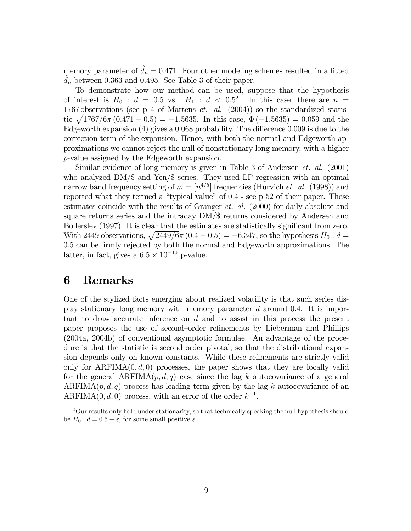memory parameter of  $\hat{d}_n = 0.471$ . Four other modeling schemes resulted in a fitted  $\hat{d}_n$  between 0.363 and 0.495. See Table 3 of their paper.  $d_n$  between 0.363 and 0.495. See Table 3 of their paper.

To demonstrate how our method can be used, suppose that the hypothesis of interest is  $H_0$ :  $d = 0.5$  vs.  $H_1$ :  $d < 0.5^2$ . In this case, there are  $n =$ 1767 observations (see p 4 of Martens  $et.$   $al.$  (2004)) so the standardized statistic  $\sqrt{1767/6\pi (0.471 - 0.5)} = -1.5635$ . In this case,  $\Phi(-1.5635) = 0.059$  and the Edgeworth expansion (4) gives a 0.068 probability. The difference 0.009 is due to the correction term of the expansion. Hence, with both the normal and Edgeworth approximations we cannot reject the null of nonstationary long memory, with a higher p-value assigned by the Edgeworth expansion.

Similar evidence of long memory is given in Table 3 of Andersen et. al. (2001) who analyzed DM/\$ and Yen/\$ series. They used LP regression with an optimal narrow band frequency setting of  $m = [n^{4/5}]$  frequencies (Hurvich *et. al.* (1998)) and reported what they termed a "typical value" of 0.4 - see p 52 of their paper. These estimates coincide with the results of Granger et. al. (2000) for daily absolute and square returns series and the intraday DM/\$ returns considered by Andersen and Bollerslev (1997). It is clear that the estimates are statistically significant from zero. With 2449 observations,  $\sqrt{2449/6\pi (0.4 - 0.5)} = -6.347$ , so the hypothesis  $H_0 : d =$ 0.5 can be firmly rejected by both the normal and Edgeworth approximations. The latter, in fact, gives a  $6.5 \times 10^{-10}$  p-value.

### 6 Remarks

One of the stylized facts emerging about realized volatility is that such series display stationary long memory with memory parameter d around 0.4. It is important to draw accurate inference on d and to assist in this process the present paper proposes the use of second—order refinements by Lieberman and Phillips (2004a, 2004b) of conventional asymptotic formulae. An advantage of the procedure is that the statistic is second order pivotal, so that the distributional expansion depends only on known constants. While these refinements are strictly valid only for  $ARFIMA(0, d, 0)$  processes, the paper shows that they are locally valid for the general  $ARFIMA(p, d, q)$  case since the lag k autocovariance of a general ARFIMA $(p, d, q)$  process has leading term given by the lag k autocovariance of an ARFIMA $(0, d, 0)$  process, with an error of the order  $k^{-1}$ .

<sup>&</sup>lt;sup>2</sup>Our results only hold under stationarity, so that technically speaking the null hypothesis should be  $H_0: d = 0.5 - \varepsilon$ , for some small positive  $\varepsilon$ .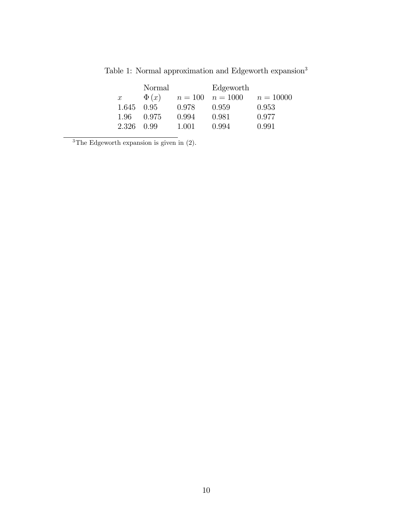|                  | Normal    |       | Edgeworth            |             |
|------------------|-----------|-------|----------------------|-------------|
| $\boldsymbol{x}$ | $\Phi(x)$ |       | $n = 100$ $n = 1000$ | $n = 10000$ |
| 1.645            | 0.95      | 0.978 | 0.959                | 0.953       |
| 1.96             | 0.975     | 0.994 | 0.981                | 0.977       |
| 2.326            | 0.99      | 1.001 | 0.994                | 0.991       |

Table 1: Normal approximation and Edgeworth  $\rm{expansion}^3$ 

<sup>3</sup>The Edgeworth expansion is given in  $(2)$ .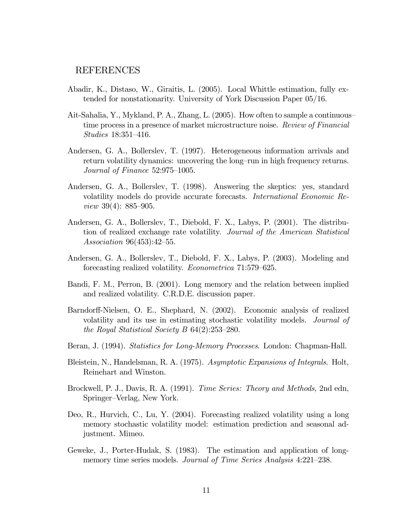#### REFERENCES

- Abadir, K., Distaso, W., Giraitis, L. (2005). Local Whittle estimation, fully extended for nonstationarity. University of York Discussion Paper 05/16.
- Ait-Sahalia, Y., Mykland, P. A., Zhang, L. (2005). How often to sample a continuous time process in a presence of market microstructure noise. Review of Financial Studies 18:351—416.
- Andersen, G. A., Bollerslev, T. (1997). Heterogeneous information arrivals and return volatility dynamics: uncovering the long—run in high frequency returns. Journal of Finance 52:975—1005.
- Andersen, G. A., Bollerslev, T. (1998). Answering the skeptics: yes, standard volatility models do provide accurate forecasts. International Economic Review 39(4): 885—905.
- Andersen, G. A., Bollerslev, T., Diebold, F. X., Labys, P. (2001). The distribution of realized exchange rate volatility. Journal of the American Statistical Association 96(453):42—55.
- Andersen, G. A., Bollerslev, T., Diebold, F. X., Labys, P. (2003). Modeling and forecasting realized volatility. Econometrica 71:579—625.
- Bandi, F. M., Perron, B. (2001). Long memory and the relation between implied and realized volatility. C.R.D.E. discussion paper.
- Barndorff-Nielsen, O. E., Shephard, N. (2002). Economic analysis of realized volatility and its use in estimating stochastic volatility models. Journal of the Royal Statistical Society B 64(2):253—280.
- Beran, J. (1994). Statistics for Long-Memory Processes. London: Chapman-Hall.
- Bleistein, N., Handelsman, R. A. (1975). Asymptotic Expansions of Integrals. Holt, Reinehart and Winston.
- Brockwell, P. J., Davis, R. A. (1991). Time Series: Theory and Methods, 2nd edn, Springer—Verlag, New York.
- Deo, R., Hurvich, C., Lu, Y. (2004). Forecasting realized volatility using a long memory stochastic volatility model: estimation prediction and seasonal adjustment. Mimeo.
- Geweke, J., Porter-Hudak, S. (1983). The estimation and application of longmemory time series models. Journal of Time Series Analysis 4:221-238.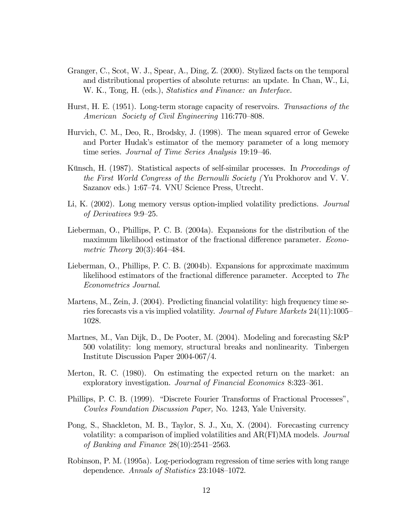- Granger, C., Scot, W. J., Spear, A., Ding, Z. (2000). Stylized facts on the temporal and distributional properties of absolute returns: an update. In Chan, W., Li, W. K., Tong, H. (eds.), *Statistics and Finance: an Interface.*
- Hurst, H. E. (1951). Long-term storage capacity of reservoirs. Transactions of the American Society of Civil Engineering 116:770—808.
- Hurvich, C. M., Deo, R., Brodsky, J. (1998). The mean squared error of Geweke and Porter Hudak's estimator of the memory parameter of a long memory time series. Journal of Time Series Analysis 19:19—46.
- Künsch, H. (1987). Statistical aspects of self-similar processes. In Proceedings of the First World Congress of the Bernoulli Society ( Yu Prokhorov and V. V. Sazanov eds.) 1:67—74. VNU Science Press, Utrecht.
- Li, K. (2002). Long memory versus option-implied volatility predictions. Journal of Derivatives 9:9—25.
- Lieberman, O., Phillips, P. C. B. (2004a). Expansions for the distribution of the maximum likelihood estimator of the fractional difference parameter. Econometric Theory 20(3):464—484.
- Lieberman, O., Phillips, P. C. B. (2004b). Expansions for approximate maximum likelihood estimators of the fractional difference parameter. Accepted to The Econometrics Journal.
- Martens, M., Zein, J. (2004). Predicting financial volatility: high frequency time series forecasts vis a vis implied volatility. Journal of Future Markets 24(11):1005— 1028.
- Martnes, M., Van Dijk, D., De Pooter, M. (2004). Modeling and forecasting S&P 500 volatility: long memory, structural breaks and nonlinearity. Tinbergen Institute Discussion Paper 2004-067/4.
- Merton, R. C. (1980). On estimating the expected return on the market: an exploratory investigation. Journal of Financial Economics 8:323—361.
- Phillips, P. C. B. (1999). "Discrete Fourier Transforms of Fractional Processes", Cowles Foundation Discussion Paper, No. 1243, Yale University.
- Pong, S., Shackleton, M. B., Taylor, S. J., Xu, X. (2004). Forecasting currency volatility: a comparison of implied volatilities and AR(FI)MA models. Journal of Banking and Finance 28(10):2541—2563.
- Robinson, P. M. (1995a). Log-periodogram regression of time series with long range dependence. Annals of Statistics 23:1048—1072.